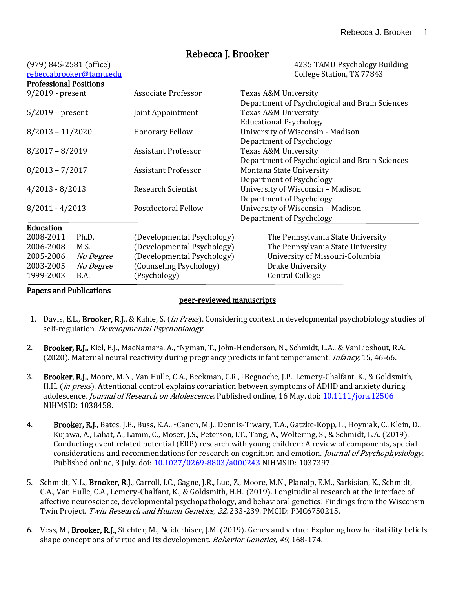| $(979)$ 845-2581 (office)     |                            | 4235 TAMU Psychology Building                  |
|-------------------------------|----------------------------|------------------------------------------------|
| rebeccabrooker@tamu.edu       |                            | College Station, TX 77843                      |
| <b>Professional Positions</b> |                            |                                                |
| 9/2019 - present              | Associate Professor        | Texas A&M University                           |
|                               |                            | Department of Psychological and Brain Sciences |
| $5/2019$ – present            | Joint Appointment          | Texas A&M University                           |
|                               |                            | <b>Educational Psychology</b>                  |
| $8/2013 - 11/2020$            | <b>Honorary Fellow</b>     | University of Wisconsin - Madison              |
|                               |                            | Department of Psychology                       |
| $8/2017 - 8/2019$             | <b>Assistant Professor</b> | Texas A&M University                           |
|                               |                            | Department of Psychological and Brain Sciences |
| $8/2013 - 7/2017$             | <b>Assistant Professor</b> | Montana State University                       |
|                               |                            | Department of Psychology                       |
| $4/2013 - 8/2013$             | <b>Research Scientist</b>  | University of Wisconsin - Madison              |
|                               |                            | Department of Psychology                       |
| $8/2011 - 4/2013$             | Postdoctoral Fellow        | University of Wisconsin - Madison              |
|                               |                            | Department of Psychology                       |
| Education                     |                            |                                                |
| 2008-2011<br>Ph.D.            | (Developmental Psychology) | The Pennsylvania State University              |
| 2006-2008<br>M.S.             | (Developmental Psychology) | The Pennsylvania State University              |
| 2005-2006<br>No Degree        | (Developmental Psychology) | University of Missouri-Columbia                |
| 2003-2005<br>No Degree        | (Counseling Psychology)    | Drake University                               |
| 1999-2003<br>B.A.             | (Psychology)               | <b>Central College</b>                         |

# Rebecca J. Brooker

### Papers and Publications

### peer-reviewed manuscripts

- 1. Davis, E.L., Brooker, R.J., & Kahle, S. (In Press). Considering context in developmental psychobiology studies of self-regulation. Developmental Psychobiology.
- 2. Brooker, R.J., Kiel, E.J., MacNamara, A., ‡Nyman, T., John-Henderson, N., Schmidt, L.A., & VanLieshout, R.A. (2020). Maternal neural reactivity during pregnancy predicts infant temperament. *Infancy*, 15, 46-66.
- 3. Brooker, R.J., Moore, M.N., Van Hulle, C.A., Beekman, C.R., ‡Begnoche, J.P., Lemery-Chalfant, K., & Goldsmith, H.H. *(in press*). Attentional control explains covariation between symptoms of ADHD and anxiety during adolescence. Journal of Research on Adolescence. Published online, 16 May. doi[: 10.1111/jora.12506](https://doi.org/10.1111/jora.12506) NIHMSID: 1038458.
- 4. Brooker, R.J., Bates, J.E., Buss, K.A., ‡Canen, M.J., Dennis-Tiwary, T.A., Gatzke-Kopp, L., Hoyniak, C., Klein, D., Kujawa, A., Lahat, A., Lamm, C., Moser, J.S., Peterson, I.T., Tang, A., Woltering, S., & Schmidt, L.A. (2019). Conducting event related potential (ERP) research with young children: A review of components, special considerations and recommendations for research on cognition and emotion. Journal of Psychophysiology. Published online, 3 July. doi: [10.1027/0269-8803/a000243](https://doi.org/10.1027/0269-8803/a000243) NIHMSID: 1037397.
- 5. Schmidt, N.L., Brooker, R.J., Carroll, I.C., Gagne, J.R., Luo, Z., Moore, M.N., Planalp, E.M., Sarkisian, K., Schmidt, C.A., Van Hulle, C.A., Lemery-Chalfant, K., & Goldsmith, H.H. (2019). Longitudinal research at the interface of affective neuroscience, developmental psychopathology, and behavioral genetics: Findings from the Wisconsin Twin Project. Twin Research and Human Genetics, 22, 233-239. PMCID: PMC6750215.
- 6. Vess, M., Brooker, R.J., Stichter, M., Neiderhiser, J.M. (2019). Genes and virtue: Exploring how heritability beliefs shape conceptions of virtue and its development. Behavior Genetics, 49, 168-174.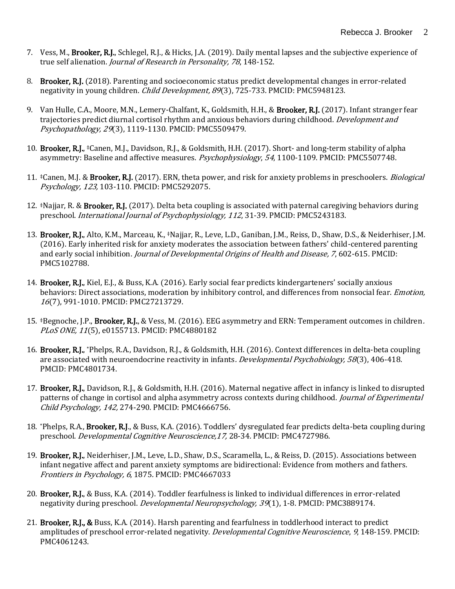- 7. Vess, M., Brooker, R.J., Schlegel, R.J., & Hicks, J.A. (2019). Daily mental lapses and the subjective experience of true self alienation. *Journal of Research in Personality, 78*, 148-152.
- 8. Brooker, R.J. (2018). Parenting and socioeconomic status predict developmental changes in error-related negativity in young children. *Child Development, 89*(3), 725-733. PMCID: PMC5948123.
- 9. Van Hulle, C.A., Moore, M.N., Lemery-Chalfant, K., Goldsmith, H.H., & Brooker, R.J. (2017). Infant stranger fear trajectories predict diurnal cortisol rhythm and anxious behaviors during childhood. *Development and* Psychopathology, 29(3), 1119-1130. PMCID: PMC5509479.
- 10. Brooker, R.J., <sup>‡</sup>Canen, M.J., Davidson, R.J., & Goldsmith, H.H. (2017). Short- and long-term stability of alpha asymmetry: Baseline and affective measures. Psychophysiology, 54, 1100-1109. PMCID: PMC5507748.
- 11. <sup>‡</sup>Canen, M.J. & **Brooker, R.J.** (2017). ERN, theta power, and risk for anxiety problems in preschoolers. *Biological* Psychology, 123, 103-110. PMCID: PMC5292075.
- 12. ‡Najjar, R. & Brooker, R.J. (2017). Delta beta coupling is associated with paternal caregiving behaviors during preschool. International Journal of Psychophysiology, 112, 31-39. PMCID: PMC5243183.
- 13. Brooker, R.J., Alto, K.M., Marceau, K., ‡Najjar, R., Leve, L.D., Ganiban, J.M., Reiss, D., Shaw, D.S., & Neiderhiser, J.M. (2016). Early inherited risk for anxiety moderates the association between fathers' child-centered parenting and early social inhibition. Journal of Developmental Origins of Health and Disease, 7, 602-615. PMCID: PMC5102788.
- 14. Brooker, R.J., Kiel, E.J., & Buss, K.A. (2016). Early social fear predicts kindergarteners' socially anxious behaviors: Direct associations, moderation by inhibitory control, and differences from nonsocial fear. *Emotion*, <sup>16</sup>(7), 991-1010. PMCID: PMC27213729.
- 15. #Begnoche, J.P., Brooker, R.J., & Vess, M. (2016). EEG asymmetry and ERN: Temperament outcomes in children. PLoS ONE, 11(5), e0155713. PMCID: PMC4880182
- 16. Brooker, R.J., \*Phelps, R.A., Davidson, R.J., & Goldsmith, H.H. (2016). Context differences in delta-beta coupling are associated with neuroendocrine reactivity in infants. Developmental Psychobiology, 58(3), 406-418. PMCID: PMC4801734.
- 17. Brooker, R.J., Davidson, R.J., & Goldsmith, H.H. (2016). Maternal negative affect in infancy is linked to disrupted patterns of change in cortisol and alpha asymmetry across contexts during childhood. *Journal of Experimental* Child Psychology, 142, 274-290. PMCID: PMC4666756.
- 18. \*Phelps, R.A., Brooker, R.J., & Buss, K.A. (2016). Toddlers' dysregulated fear predicts delta-beta coupling during preschool. *Developmental Cognitive Neuroscience, 17*, 28-34. PMCID: PMC4727986.
- 19. Brooker, R.J., Neiderhiser, J.M., Leve, L.D., Shaw, D.S., Scaramella, L., & Reiss, D. (2015). Associations between infant negative affect and parent anxiety symptoms are bidirectional: Evidence from mothers and fathers. Frontiers in Psychology, 6, 1875. PMCID: PMC4667033
- 20. Brooker, R.J., & Buss, K.A. (2014). Toddler fearfulness is linked to individual differences in error-related negativity during preschool. *Developmental Neuropsychology, 39*(1), 1-8. PMCID: PMC3889174.
- 21. Brooker, R.J., & Buss, K.A. (2014). Harsh parenting and fearfulness in toddlerhood interact to predict amplitudes of preschool error-related negativity. *Developmental Cognitive Neuroscience*, 9, 148-159. PMCID: PMC4061243.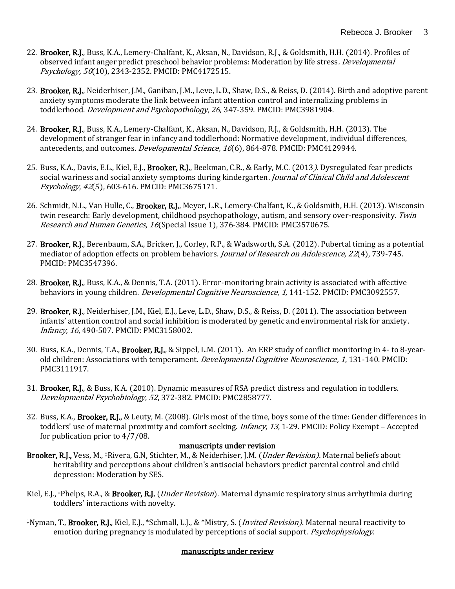- 22. Brooker, R.J., Buss, K.A., Lemery-Chalfant, K., Aksan, N., Davidson, R.J., & Goldsmith, H.H. (2014). Profiles of observed infant anger predict preschool behavior problems: Moderation by life stress. *Developmental* Psychology, 50(10), 2343-2352. PMCID: PMC4172515.
- 23. Brooker, R.J., Neiderhiser, J.M., Ganiban, J.M., Leve, L.D., Shaw, D.S., & Reiss, D. (2014). Birth and adoptive parent anxiety symptoms moderate the link between infant attention control and internalizing problems in toddlerhood. Development and *Psychopathology*, *26,* 347-359*.* PMCID: PMC3981904.
- 24. Brooker, R.J., Buss, K.A., Lemery-Chalfant, K., Aksan, N., Davidson, R.J., & Goldsmith, H.H. (2013). The development of stranger fear in infancy and toddlerhood: Normative development, individual differences, antecedents, and outcomes. Developmental Science, 16(6), 864-878. PMCID: PMC4129944.
- 25. Buss, K.A., Davis, E.L., Kiel, E.J., Brooker, R.J., Beekman, C.R., & Early, M.C. (2013). Dysregulated fear predicts social wariness and social anxiety symptoms during kindergarten. Journal of Clinical Child and Adolescent Psychology, 42(5), 603-616. PMCID: PMC3675171.
- 26. Schmidt, N.L., Van Hulle, C., Brooker, R.J., Meyer, L.R., Lemery-Chalfant, K., & Goldsmith, H.H. (2013). Wisconsin twin research: Early development, childhood psychopathology, autism, and sensory over-responsivity. Twin Research and Human Genetics, 16(Special Issue 1), 376-384. PMCID: PMC3570675.
- 27. Brooker, R.J., Berenbaum, S.A., Bricker, J., Corley, R.P., & Wadsworth, S.A. (2012). Pubertal timing as a potential mediator of adoption effects on problem behaviors. Journal of Research on Adolescence, 22(4), 739-745. PMCID: PMC3547396.
- 28. Brooker, R.J., Buss, K.A., & Dennis, T.A. (2011). Error-monitoring brain activity is associated with affective behaviors in young children. Developmental Cognitive Neuroscience, 1, 141-152. PMCID: PMC3092557.
- 29. Brooker, R.J., Neiderhiser, J.M., Kiel, E.J., Leve, L.D., Shaw, D.S., & Reiss, D. (2011). The association between infants' attention control and social inhibition is moderated by genetic and environmental risk for anxiety. Infancy, 16, 490-507. PMCID: PMC3158002.
- 30. Buss, K.A., Dennis, T.A., Brooker, R.J., & Sippel, L.M. (2011). An ERP study of conflict monitoring in 4- to 8-yearold children: Associations with temperament. *Developmental Cognitive Neuroscience*, 1, 131-140. PMCID: PMC3111917.
- 31. Brooker, R.J., & Buss, K.A. (2010). Dynamic measures of RSA predict distress and regulation in toddlers. Developmental Psychobiology, 52, 372-382. PMCID: PMC2858777.
- 32. Buss, K.A., Brooker, R.J., & Leuty, M. (2008). Girls most of the time, boys some of the time: Gender differences in toddlers' use of maternal proximity and comfort seeking. *Infancy, 13*, 1-29. PMCID: Policy Exempt – Accepted for publication prior to 4/7/08.

### manuscripts under revision

- Brooker, R.J., Vess, M., \*Rivera, G.N, Stichter, M., & Neiderhiser, J.M. (*Under Revision*). Maternal beliefs about heritability and perceptions about children's antisocial behaviors predict parental control and child depression: Moderation by SES.
- Kiel, E.J., ‡Phelps, R.A., & **Brooker, R.J.** (*Under Revision*). Maternal dynamic respiratory sinus arrhythmia during toddlers' interactions with novelty.
- ‡Nyman, T., Brooker, R.J., Kiel, E.J., \*Schmall, L.J., & \*Mistry, S. (Invited Revision). Maternal neural reactivity to emotion during pregnancy is modulated by perceptions of social support. Psychophysiology.

### manuscripts under review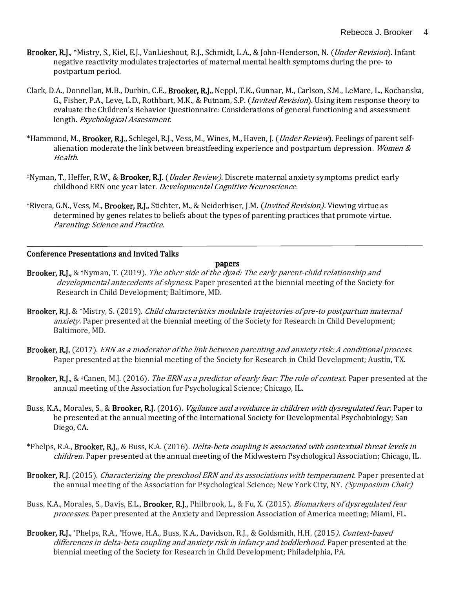- Brooker, R.J., \*Mistry, S., Kiel, E.J., VanLieshout, R.J., Schmidt, L.A., & John-Henderson, N. (*Under Revision*). Infant negative reactivity modulates trajectories of maternal mental health symptoms during the pre- to postpartum period.
- Clark, D.A., Donnellan, M.B., Durbin, C.E., Brooker, R.J., Neppl, T.K., Gunnar, M., Carlson, S.M., LeMare, L., Kochanska, G., Fisher, P.A., Leve, L.D., Rothbart, M.K., & Putnam, S.P. (Invited Revision). Using item response theory to evaluate the Children's Behavior Questionnaire: Considerations of general functioning and assessment length. Psychological Assessment.
- \*Hammond, M., Brooker, R.J., Schlegel, R.J., Vess, M., Wines, M., Haven, J. (*Under Review*). Feelings of parent selfalienation moderate the link between breastfeeding experience and postpartum depression. *Women &* Health.
- ‡Nyman, T., Heffer, R.W., & Brooker, R.J. (Under Review). Discrete maternal anxiety symptoms predict early childhood ERN one year later. Developmental Cognitive Neuroscience.
- ‡Rivera, G.N., Vess, M., Brooker, R.J., Stichter, M., & Neiderhiser, J.M. (Invited Revision). Viewing virtue as determined by genes relates to beliefs about the types of parenting practices that promote virtue. Parenting: Science and Practice.

### Conference Presentations and Invited Talks

#### papers

- Brooker, R.J., & ‡Nyman, T. (2019). The other side of the dyad: The early parent-child relationship and developmental antecedents of shyness. Paper presented at the biennial meeting of the Society for Research in Child Development; Baltimore, MD.
- Brooker, R.J. & \*Mistry, S. (2019). Child characteristics modulate trajectories of pre-to postpartum maternal anxiety. Paper presented at the biennial meeting of the Society for Research in Child Development; Baltimore, MD.
- Brooker, R.J. (2017). ERN as a moderator of the link between parenting and anxiety risk: A conditional process. Paper presented at the biennial meeting of the Society for Research in Child Development; Austin, TX.
- **Brooker, R.J., & ‡Canen, M.J. (2016).** The ERN as a predictor of early fear: The role of context. Paper presented at the annual meeting of the Association for Psychological Science; Chicago, IL.
- Buss, K.A., Morales, S., & **Brooker, R.J.** (2016). *Vigilance and avoidance in children with dysregulated fear.* Paper to be presented at the annual meeting of the International Society for Developmental Psychobiology; San Diego, CA.
- \*Phelps, R.A., Brooker, R.J., & Buss, K.A. (2016). *Delta-beta coupling is associated with contextual threat levels in* children. Paper presented at the annual meeting of the Midwestern Psychological Association; Chicago, IL.
- Brooker, R.J. (2015). *Characterizing the preschool ERN and its associations with temperament.* Paper presented at the annual meeting of the Association for Psychological Science; New York City, NY. *(Symposium Chair)*
- Buss, K.A., Morales, S., Davis, E.L., **Brooker, R.J.**, Philbrook, L., & Fu, X. (2015). *Biomarkers of dysregulated fear* processes. Paper presented at the Anxiety and Depression Association of America meeting; Miami, FL.
- Brooker, R.J., \*Phelps, R.A., \*Howe, H.A., Buss, K.A., Davidson, R.J., & Goldsmith, H.H. (2015*). Context-based* differences in delta-beta coupling and anxiety risk in infancy and toddlerhood. Paper presented at the biennial meeting of the Society for Research in Child Development; Philadelphia, PA.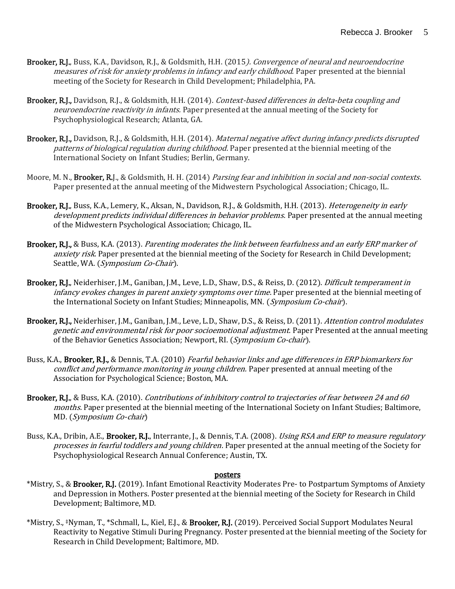- Brooker, R.J., Buss, K.A., Davidson, R.J., & Goldsmith, H.H. (2015). Convergence of neural and neuroendocrine measures of risk for anxiety problems in infancy and early childhood. Paper presented at the biennial meeting of the Society for Research in Child Development; Philadelphia, PA.
- Brooker, R.J., Davidson, R.J., & Goldsmith, H.H. (2014). Context-based differences in delta-beta coupling and neuroendocrine reactivity in infants. Paper presented at the annual meeting of the Society for Psychophysiological Research; Atlanta, GA.
- Brooker, R.J., Davidson, R.J., & Goldsmith, H.H. (2014). Maternal negative affect during infancy predicts disrupted patterns of biological regulation during childhood. Paper presented at the biennial meeting of the International Society on Infant Studies; Berlin, Germany.
- Moore, M. N., Brooker, R.J., & Goldsmith, H. H. (2014) Parsing fear and inhibition in social and non-social contexts. Paper presented at the annual meeting of the Midwestern Psychological Association; Chicago, IL.
- Brooker, R.J., Buss, K.A., Lemery, K., Aksan, N., Davidson, R.J., & Goldsmith, H.H. (2013). *Heterogeneity in early* development predicts individual differences in behavior problems. Paper presented at the annual meeting of the Midwestern Psychological Association; Chicago, IL.
- Brooker, R.J., & Buss, K.A. (2013). *Parenting moderates the link between fearfulness and an early ERP marker of* anxiety risk. Paper presented at the biennial meeting of the Society for Research in Child Development; Seattle, WA. (Symposium Co-Chair).
- Brooker, R.J., Neiderhiser, J.M., Ganiban, J.M., Leve, L.D., Shaw, D.S., & Reiss, D. (2012). *Difficult temperament in* infancy evokes changes in parent anxiety symptoms over time. Paper presented at the biennial meeting of the International Society on Infant Studies; Minneapolis, MN. (Symposium Co-chair).
- Brooker, R.J., Neiderhiser, J.M., Ganiban, J.M., Leve, L.D., Shaw, D.S., & Reiss, D. (2011). Attention control modulates genetic and environmental risk for poor socioemotional adjustment. Paper Presented at the annual meeting of the Behavior Genetics Association; Newport, RI. (Symposium Co-chair).
- Buss, K.A., Brooker, R.J., & Dennis, T.A. (2010) Fearful behavior links and age differences in ERP biomarkers for conflict and performance monitoring in young children. Paper presented at annual meeting of the Association for Psychological Science; Boston, MA.
- Brooker, R.J., & Buss, K.A. (2010). Contributions of inhibitory control to trajectories of fear between 24 and 60 months. Paper presented at the biennial meeting of the International Society on Infant Studies; Baltimore, MD. (Symposium Co-chair)
- Buss, K.A., Dribin, A.E., **Brooker, R.J.**, Interrante, J., & Dennis, T.A. (2008). *Using RSA and ERP to measure regulatory* processes in fearful toddlers and young children. Paper presented at the annual meeting of the Society for Psychophysiological Research Annual Conference; Austin, TX.

#### posters

- \*Mistry, S., & Brooker, R.J. (2019). Infant Emotional Reactivity Moderates Pre- to Postpartum Symptoms of Anxiety and Depression in Mothers. Poster presented at the biennial meeting of the Society for Research in Child Development; Baltimore, MD.
- \*Mistry, S., ‡Nyman, T., \*Schmall, L., Kiel, E.J., & Brooker, R.J. (2019). Perceived Social Support Modulates Neural Reactivity to Negative Stimuli During Pregnancy. Poster presented at the biennial meeting of the Society for Research in Child Development; Baltimore, MD.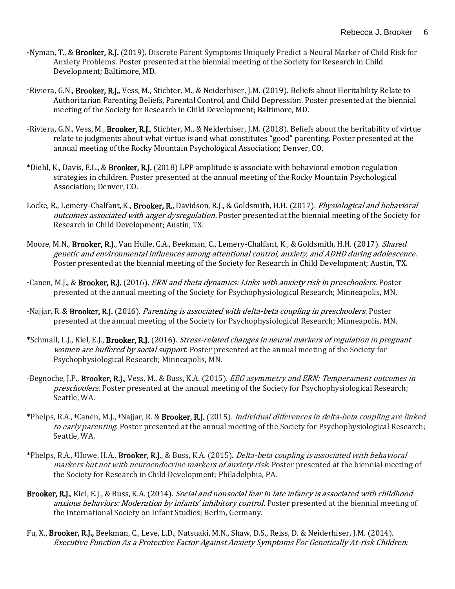- ‡Nyman, T., & Brooker, R.J. (2019). Discrete Parent Symptoms Uniquely Predict a Neural Marker of Child Risk for Anxiety Problems. Poster presented at the biennial meeting of the Society for Research in Child Development; Baltimore, MD.
- ‡Riviera, G.N., Brooker, R.J., Vess, M., Stichter, M., & Neiderhiser, J.M. (2019). Beliefs about Heritability Relate to Authoritarian Parenting Beliefs, Parental Control, and Child Depression. Poster presented at the biennial meeting of the Society for Research in Child Development; Baltimore, MD.
- ‡Riviera, G.N., Vess, M., Brooker, R.J., Stichter, M., & Neiderhiser, J.M. (2018). Beliefs about the heritability of virtue relate to judgments about what virtue is and what constitutes "good" parenting. Poster presented at the annual meeting of the Rocky Mountain Psychological Association; Denver, CO.
- \*Diehl, K., Davis, E.L., & Brooker, R.J. (2018) LPP amplitude is associate with behavioral emotion regulation strategies in children. Poster presented at the annual meeting of the Rocky Mountain Psychological Association; Denver, CO.
- Locke, R., Lemery-Chalfant, K., Brooker, R., Davidson, R.J., & Goldsmith, H.H. (2017). Physiological and behavioral outcomes associated with anger dysregulation. Poster presented at the biennial meeting of the Society for Research in Child Development; Austin, TX.
- Moore, M.N., Brooker, R.J., Van Hulle, C.A., Beekman, C., Lemery-Chalfant, K., & Goldsmith, H.H. (2017). Shared genetic and environmental influences among attentional control, anxiety, and ADHD during adolescence. Poster presented at the biennial meeting of the Society for Research in Child Development; Austin, TX.
- ‡Canen, M.J., & Brooker, R.J. (2016). ERN and theta dynamics: Links with anxiety risk in preschoolers. Poster presented at the annual meeting of the Society for Psychophysiological Research; Minneapolis, MN.
- ‡Najjar, R.& Brooker, R.J. (2016). Parenting is associated with delta-beta coupling in preschoolers. Poster presented at the annual meeting of the Society for Psychophysiological Research; Minneapolis, MN.
- \*Schmall, L.J., Kiel, E.J., **Brooker, R.J.** (2016). *Stress-related changes in neural markers of regulation in pregnant* women are buffered by social support. Poster presented at the annual meeting of the Society for Psychophysiological Research; Minneapolis, MN.
- ‡Begnoche, J.P., Brooker, R.J., Vess, M., & Buss, K.A. (2015). EEG asymmetry and ERN: Temperament outcomes in preschoolers. Poster presented at the annual meeting of the Society for Psychophysiological Research; Seattle, WA.
- \*Phelps, R.A., <sup>‡</sup>Canen, M.J., <sup>‡</sup>Najjar, R. & **Brooker, R.J.** (2015). *Individual differences in delta-beta coupling are linked* to early parenting. Poster presented at the annual meeting of the Society for Psychophysiological Research; Seattle, WA.
- \*Phelps, R.A., ‡Howe, H.A., **Brooker, R.J.**, & Buss, K.A. (2015). *Delta-beta coupling is associated with behavioral* markers but not with neuroendocrine markers of anxiety risk. Poster presented at the biennial meeting of the Society for Research in Child Development; Philadelphia, PA.
- Brooker, R.J., Kiel, E.J., & Buss, K.A. (2014). Social and nonsocial fear in late infancy is associated with childhood anxious behaviors: Moderation by infants' inhibitory control. Poster presented at the biennial meeting of the International Society on Infant Studies; Berlin, Germany.
- Fu, X., Brooker, R.J., Beekman, C., Leve, L.D., Natsuaki, M.N., Shaw, D.S., Reiss, D. & Neiderhiser, J.M. (2014). Executive Function As a Protective Factor Against Anxiety Symptoms For Genetically At-risk Children: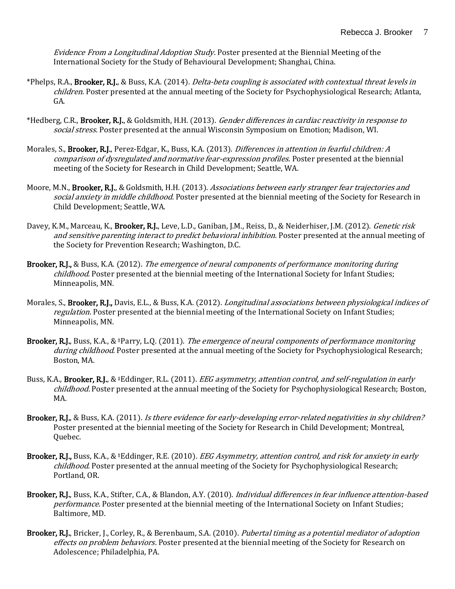Evidence From a Longitudinal Adoption Study. Poster presented at the Biennial Meeting of the International Society for the Study of Behavioural Development; Shanghai, China.

- \*Phelps, R.A., **Brooker, R.J.**, & Buss, K.A. (2014). *Delta-beta coupling is associated with contextual threat levels in* children. Poster presented at the annual meeting of the Society for Psychophysiological Research; Atlanta, GA.
- \*Hedberg, C.R., Brooker, R.J., & Goldsmith, H.H. (2013). Gender differences in cardiac reactivity in response to social stress. Poster presented at the annual Wisconsin Symposium on Emotion; Madison, WI.
- Morales, S., **Brooker, R.J.**, Perez-Edgar, K., Buss, K.A. (2013). *Differences in attention in fearful children: A* comparison of dysregulated and normative fear-expression profiles. Poster presented at the biennial meeting of the Society for Research in Child Development; Seattle, WA.
- Moore, M.N., Brooker, R.J., & Goldsmith, H.H. (2013). Associations between early stranger fear trajectories and social anxiety in middle childhood. Poster presented at the biennial meeting of the Society for Research in Child Development; Seattle, WA.
- Davey, K.M., Marceau, K., Brooker, R.J., Leve, L.D., Ganiban, J.M., Reiss, D., & Neiderhiser, J.M. (2012). Genetic risk and sensitive parenting interact to predict behavioral inhibition. Poster presented at the annual meeting of the Society for Prevention Research; Washington, D.C.
- Brooker, R.J., & Buss, K.A. (2012). The emergence of neural components of performance monitoring during childhood. Poster presented at the biennial meeting of the International Society for Infant Studies; Minneapolis, MN.
- Morales, S., Brooker, R.J., Davis, E.L., & Buss, K.A. (2012). Longitudinal associations between physiological indices of regulation. Poster presented at the biennial meeting of the International Society on Infant Studies; Minneapolis, MN.
- Brooker, R.J., Buss, K.A., &  $\ddagger$ Parry, L.Q. (2011). The emergence of neural components of performance monitoring during childhood. Poster presented at the annual meeting of the Society for Psychophysiological Research; Boston, MA.
- Buss, K.A., Brooker, R.J., & #Eddinger, R.L. (2011). *EEG asymmetry, attention control, and self-regulation in early* childhood. Poster presented at the annual meeting of the Society for Psychophysiological Research; Boston, MA.
- Brooker, R.J., & Buss, K.A. (2011). Is there evidence for early-developing error-related negativities in shy children? Poster presented at the biennial meeting of the Society for Research in Child Development; Montreal, Quebec.
- Brooker, R.J., Buss, K.A., & ‡Eddinger, R.E. (2010). *EEG Asymmetry, attention control, and risk for anxiety in early* childhood. Poster presented at the annual meeting of the Society for Psychophysiological Research; Portland, OR.
- Brooker, R.J., Buss, K.A., Stifter, C.A., & Blandon, A.Y. (2010). Individual differences in fear influence attention-based performance. Poster presented at the biennial meeting of the International Society on Infant Studies; Baltimore, MD.
- Brooker, R.J., Bricker, J., Corley, R., & Berenbaum, S.A. (2010). Pubertal timing as a potential mediator of adoption effects on problem behaviors. Poster presented at the biennial meeting of the Society for Research on Adolescence; Philadelphia, PA.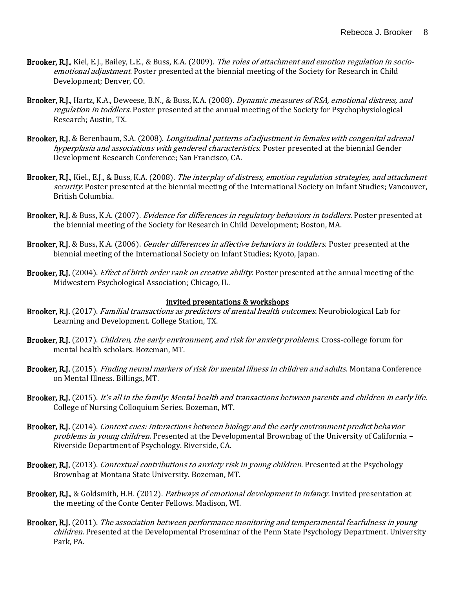- Brooker, R.J., Kiel, E.J., Bailey, L.E., & Buss, K.A. (2009). The roles of attachment and emotion regulation in socioemotional adjustment. Poster presented at the biennial meeting of the Society for Research in Child Development; Denver, CO.
- Brooker, R.J., Hartz, K.A., Deweese, B.N., & Buss, K.A. (2008). *Dynamic measures of RSA, emotional distress, and* regulation in toddlers. Poster presented at the annual meeting of the Society for Psychophysiological Research; Austin, TX.
- Brooker, R.J. & Berenbaum, S.A. (2008). *Longitudinal patterns of adjustment in females with congenital adrenal* hyperplasia and associations with gendered characteristics. Poster presented at the biennial Gender Development Research Conference; San Francisco, CA.
- Brooker, R.J., Kiel., E.J., & Buss, K.A. (2008). The interplay of distress, emotion regulation strategies, and attachment security. Poster presented at the biennial meeting of the International Society on Infant Studies; Vancouver, British Columbia.
- Brooker, R.J. & Buss, K.A. (2007). *Evidence for differences in regulatory behaviors in toddlers*. Poster presented at the biennial meeting of the Society for Research in Child Development; Boston, MA.
- Brooker, R.J. & Buss, K.A. (2006). *Gender differences in affective behaviors in toddlers.* Poster presented at the biennial meeting of the International Society on Infant Studies; Kyoto, Japan.
- Brooker, R.J. (2004). *Effect of birth order rank on creative ability*. Poster presented at the annual meeting of the Midwestern Psychological Association; Chicago, IL.

#### invited presentations & workshops

- Brooker, R.J. (2017). *Familial transactions as predictors of mental health outcomes.* Neurobiological Lab for Learning and Development. College Station, TX.
- Brooker, R.J. (2017). *Children, the early environment, and risk for anxiety problems*. Cross-college forum for mental health scholars. Bozeman, MT.
- Brooker, R.J. (2015). *Finding neural markers of risk for mental illness in children and adults.* Montana Conference on Mental Illness. Billings, MT.
- Brooker, R.J. (2015). It's all in the family: Mental health and transactions between parents and children in early life. College of Nursing Colloquium Series. Bozeman, MT.
- Brooker, R.J. (2014). Context cues: Interactions between biology and the early environment predict behavior problems in young children. Presented at the Developmental Brownbag of the University of California – Riverside Department of Psychology. Riverside, CA.
- Brooker, R.J. (2013). Contextual contributions to anxiety risk in young children. Presented at the Psychology Brownbag at Montana State University. Bozeman, MT.
- Brooker, R.J., & Goldsmith, H.H. (2012). *Pathways of emotional development in infancy*. Invited presentation at the meeting of the Conte Center Fellows. Madison, WI.
- Brooker, R.J. (2011). The association between performance monitoring and temperamental fearfulness in young children. Presented at the Developmental Proseminar of the Penn State Psychology Department. University Park, PA.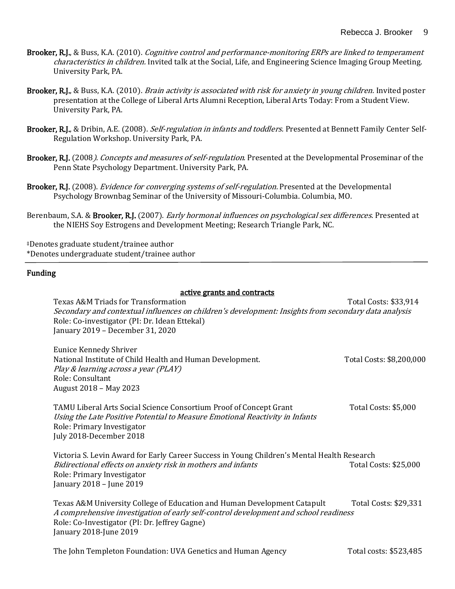- Brooker, R.J., & Buss, K.A. (2010). Cognitive control and performance-monitoring ERPs are linked to temperament characteristics in children. Invited talk at the Social, Life, and Engineering Science Imaging Group Meeting. University Park, PA.
- Brooker, R.J., & Buss, K.A. (2010). *Brain activity is associated with risk for anxiety in young children*. Invited poster presentation at the College of Liberal Arts Alumni Reception, Liberal Arts Today: From a Student View. University Park, PA.
- Brooker, R.J., & Dribin, A.E. (2008). *Self-regulation in infants and toddlers.* Presented at Bennett Family Center Self-Regulation Workshop. University Park, PA.
- Brooker, R.J. (2008). Concepts and measures of self-regulation. Presented at the Developmental Proseminar of the Penn State Psychology Department. University Park, PA.
- Brooker, R.J. (2008). *Evidence for converging systems of self-regulation*. Presented at the Developmental Psychology Brownbag Seminar of the University of Missouri-Columbia. Columbia, MO.
- Berenbaum, S.A. & Brooker, R.J. (2007). *Early hormonal influences on psychological sex differences*. Presented at the NIEHS Soy Estrogens and Development Meeting; Research Triangle Park, NC.

‡Denotes graduate student/trainee author \*Denotes undergraduate student/trainee author

#### Funding

#### active grants and contracts

Texas A&M Triads for Transformation The Costs: \$33,914 Total Costs: \$33,914 Secondary and contextual influences on children's development: Insights from secondary data analysis Role: Co-investigator (PI: Dr. Idean Ettekal) January 2019 – December 31, 2020

| Eunice Kennedy Shriver                                    |                          |
|-----------------------------------------------------------|--------------------------|
| National Institute of Child Health and Human Development. | Total Costs: \$8,200,000 |
| Play & learning across a year (PLAY)                      |                          |
| Role: Consultant                                          |                          |
| August 2018 – May 2023                                    |                          |
|                                                           |                          |

TAMU Liberal Arts Social Science Consortium Proof of Concept Grant Total Costs: \$5,000 Using the Late Positive Potential to Measure Emotional Reactivity in Infants Role: Primary Investigator July 2018-December 2018

Victoria S. Levin Award for Early Career Success in Young Children's Mental Health Research Bidirectional effects on anxiety risk in mothers and infants The Matten Costs: \$25,000 Bidirectional effects on anxiety risk in mothers and infants Role: Primary Investigator January 2018 – June 2019

Texas A&M University College of Education and Human Development Catapult Total Costs: \$29,331 A comprehensive investigation of early self-control development and school readiness Role: Co-Investigator (PI: Dr. Jeffrey Gagne) January 2018-June 2019

The John Templeton Foundation: UVA Genetics and Human Agency Total costs: \$523,485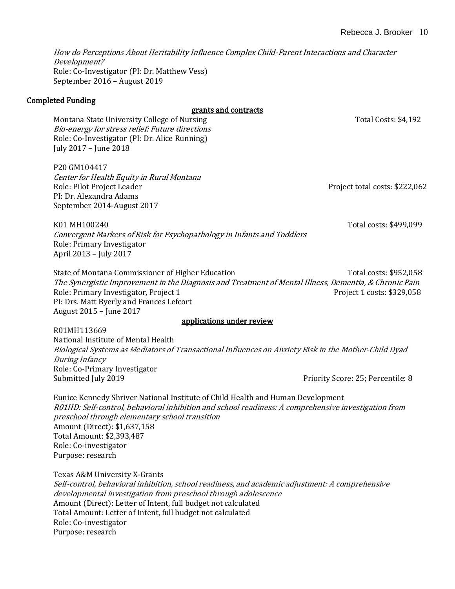How do Perceptions About Heritability Influence Complex Child-Parent Interactions and Character Development? Role: Co-Investigator (PI: Dr. Matthew Vess) September 2016 – August 2019

### Completed Funding

grants and contracts

Montana State University College of Nursing Total Costs: \$4,192 Bio-energy for stress relief: Future directions Role: Co-Investigator (PI: Dr. Alice Running) July 2017 – June 2018

P20 GM104417 Center for Health Equity in Rural Montana Role: Pilot Project Leader **Project Leader** Project total costs: \$222,062 PI: Dr. Alexandra Adams September 2014-August 2017

K01 MH100240 Total costs: \$499,099 Convergent Markers of Risk for Psychopathology in Infants and Toddlers Role: Primary Investigator April 2013 – July 2017

State of Montana Commissioner of Higher Education Total Costs: \$952,058 The Synergistic Improvement in the Diagnosis and Treatment of Mental Illness, Dementia, & Chronic Pain Role: Primary Investigator, Project 1 **Project 1** Project 1 costs: \$329,058 PI: Drs. Matt Byerly and Frances Lefcort August 2015 – June 2017

#### applications under review

R01MH113669 National Institute of Mental Health Biological Systems as Mediators of Transactional Influences on Anxiety Risk in the Mother-Child Dyad During Infancy Role: Co-Primary Investigator Submitted July 2019 Priority Score: 25; Percentile: 8

Eunice Kennedy Shriver National Institute of Child Health and Human Development R01HD: Self-control, behavioral inhibition and school readiness: A comprehensive investigation from preschool through elementary school transition Amount (Direct): \$1,637,158 Total Amount: \$2,393,487 Role: Co-investigator Purpose: research

Texas A&M University X-Grants Self-control, behavioral inhibition, school readiness, and academic adjustment: A comprehensive developmental investigation from preschool through adolescence Amount (Direct): Letter of Intent, full budget not calculated Total Amount: Letter of Intent, full budget not calculated Role: Co-investigator Purpose: research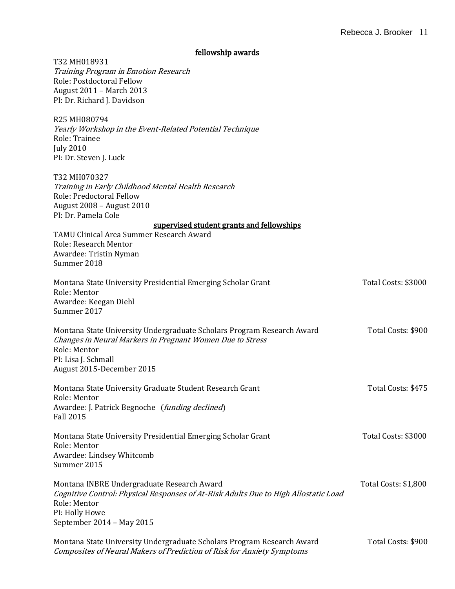#### fellowship awards

| T32 MH018931<br>Training Program in Emotion Research<br>Role: Postdoctoral Fellow<br>August 2011 - March 2013<br>PI: Dr. Richard J. Davidson                                                            |                      |
|---------------------------------------------------------------------------------------------------------------------------------------------------------------------------------------------------------|----------------------|
| R25 MH080794<br>Yearly Workshop in the Event-Related Potential Technique<br>Role: Trainee<br><b>July 2010</b><br>PI: Dr. Steven J. Luck                                                                 |                      |
| T32 MH070327<br>Training in Early Childhood Mental Health Research<br>Role: Predoctoral Fellow<br>August 2008 - August 2010<br>PI: Dr. Pamela Cole                                                      |                      |
| supervised student grants and fellowships<br>TAMU Clinical Area Summer Research Award<br>Role: Research Mentor<br>Awardee: Tristin Nyman<br>Summer 2018                                                 |                      |
| Montana State University Presidential Emerging Scholar Grant<br>Role: Mentor<br>Awardee: Keegan Diehl<br>Summer 2017                                                                                    | Total Costs: \$3000  |
| Montana State University Undergraduate Scholars Program Research Award<br>Changes in Neural Markers in Pregnant Women Due to Stress<br>Role: Mentor<br>PI: Lisa J. Schmall<br>August 2015-December 2015 | Total Costs: \$900   |
| Montana State University Graduate Student Research Grant<br>Role: Mentor<br>Awardee: J. Patrick Begnoche (funding declined)<br><b>Fall 2015</b>                                                         | Total Costs: \$475   |
| Montana State University Presidential Emerging Scholar Grant<br>Role: Mentor<br>Awardee: Lindsey Whitcomb<br>Summer 2015                                                                                | Total Costs: \$3000  |
| Montana INBRE Undergraduate Research Award<br>Cognitive Control: Physical Responses of At-Risk Adults Due to High Allostatic Load<br>Role: Mentor<br>PI: Holly Howe                                     | Total Costs: \$1,800 |
| September 2014 - May 2015<br>Montana State University Undergraduate Scholars Program Research Award<br>Composites of Neural Makers of Prediction of Risk for Anxiety Symptoms                           | Total Costs: \$900   |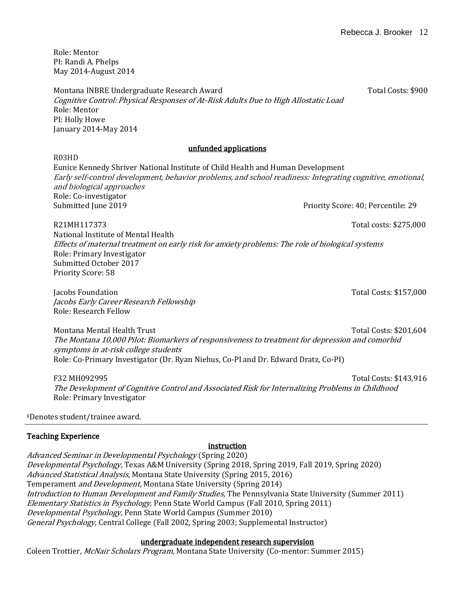Role: Mentor PI: Randi A. Phelps May 2014-August 2014

Montana INBRE Undergraduate Research Award Total Costs: \$900 Cognitive Control: Physical Responses of At-Risk Adults Due to High Allostatic Load Role: Mentor PI: Holly Howe January 2014-May 2014

### unfunded applications

R03HD

Eunice Kennedy Shriver National Institute of Child Health and Human Development Early self-control development, behavior problems, and school readiness: Integrating cognitive, emotional, and biological approaches Role: Co-investigator Submitted June 2019 Priority Score: 40; Percentile: 29

R21MH117373 Total costs: \$275,000 National Institute of Mental Health Effects of maternal treatment on early risk for anxiety problems: The role of biological systems Role: Primary Investigator Submitted October 2017 Priority Score: 58

Jacobs Foundation Total Costs: \$157,000 Jacobs Early Career Research Fellowship Role: Research Fellow

Montana Mental Health Trust Total Costs: \$201,604 The Montana 10,000 Pilot: Biomarkers of responsiveness to treatment for depression and comorbid symptoms in at-risk college students Role: Co-Primary Investigator (Dr. Ryan Niehus, Co-PI and Dr. Edward Dratz, Co-PI)

F32 MH092995 Total Costs: \$143,916 The Development of Cognitive Control and Associated Risk for Internalizing Problems in Childhood Role: Primary Investigator

‡Denotes student/trainee award.

# Teaching Experience

# instruction

Advanced Seminar in Developmental Psychology (Spring 2020) Developmental Psychology, Texas A&M University (Spring 2018, Spring 2019, Fall 2019, Spring 2020) Advanced Statistical Analysis, Montana State University (Spring 2015, 2016) Temperament and Development, Montana State University (Spring 2014) Introduction to Human Development and Family Studies, The Pennsylvania State University (Summer 2011) Elementary Statistics in Psychology, Penn State World Campus (Fall 2010, Spring 2011) Developmental Psychology, Penn State World Campus (Summer 2010) General Psychology, Central College (Fall 2002, Spring 2003; Supplemental Instructor)

### undergraduate independent research supervision

Coleen Trottier, *McNair Scholars Program*, Montana State University (Co-mentor: Summer 2015)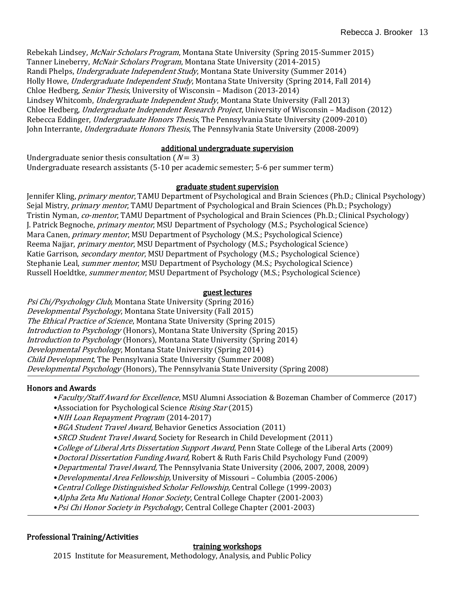Rebekah Lindsey, McNair Scholars Program, Montana State University (Spring 2015-Summer 2015) Tanner Lineberry, McNair Scholars Program, Montana State University (2014-2015) Randi Phelps, Undergraduate Independent Study, Montana State University (Summer 2014) Holly Howe, *Undergraduate Independent Study*, Montana State University (Spring 2014, Fall 2014) Chloe Hedberg, Senior Thesis, University of Wisconsin – Madison (2013-2014) Lindsey Whitcomb, Undergraduate Independent Study, Montana State University (Fall 2013) Chloe Hedberg, Undergraduate Independent Research Project, University of Wisconsin – Madison (2012) Rebecca Eddinger, *Undergraduate Honors Thesis*, The Pennsylvania State University (2009-2010) John Interrante, Undergraduate Honors Thesis, The Pennsylvania State University (2008-2009)

### additional undergraduate supervision

Undergraduate senior thesis consultation  $(N = 3)$ Undergraduate research assistants (5-10 per academic semester; 5-6 per summer term)

#### graduate student supervision

Jennifer Kling, *primary mentor*, TAMU Department of Psychological and Brain Sciences (Ph.D.; Clinical Psychology) Sejal Mistry, *primary mentor*, TAMU Department of Psychological and Brain Sciences (Ph.D.; Psychology) Tristin Nyman, co-mentor, TAMU Department of Psychological and Brain Sciences (Ph.D.; Clinical Psychology) J. Patrick Begnoche, *primary mentor*, MSU Department of Psychology (M.S.; Psychological Science) Mara Canen, *primary mentor*, MSU Department of Psychology (M.S.; Psychological Science) Reema Najjar, primary mentor, MSU Department of Psychology (M.S.; Psychological Science) Katie Garrison, *secondary mentor*, MSU Department of Psychology (M.S.; Psychological Science) Stephanie Leal, summer mentor, MSU Department of Psychology (M.S.; Psychological Science) Russell Hoeldtke, *summer mentor*, MSU Department of Psychology (M.S.; Psychological Science)

#### guest lectures

Psi Chi/Psychology Club, Montana State University (Spring 2016) Developmental Psychology, Montana State University (Fall 2015) The Ethical Practice of Science, Montana State University (Spring 2015) Introduction to Psychology (Honors), Montana State University (Spring 2015) Introduction to Psychology (Honors), Montana State University (Spring 2014) Developmental Psychology, Montana State University (Spring 2014) Child Development, The Pennsylvania State University (Summer 2008) Developmental Psychology (Honors), The Pennsylvania State University (Spring 2008)

#### Honors and Awards

j

- •Faculty/Staff Award for Excellence, MSU Alumni Association & Bozeman Chamber of Commerce (2017)
- •Association for Psychological Science Rising Star (2015)
- •NIH Loan Repayment Program (2014-2017)
- BGA Student Travel Award, Behavior Genetics Association (2011)
- SRCD Student Travel Award, Society for Research in Child Development (2011)
- •College of Liberal Arts Dissertation Support Award, Penn State College of the Liberal Arts (2009)
- •Doctoral Dissertation Funding Award, Robert & Ruth Faris Child Psychology Fund (2009)
- •Departmental Travel Award, The Pennsylvania State University (2006, 2007, 2008, 2009)
- •Developmental Area Fellowship, University of Missouri Columbia (2005-2006)
- •Central College Distinguished Scholar Fellowship, Central College (1999-2003)
- Alpha Zeta Mu National Honor Society, Central College Chapter (2001-2003)
- Psi Chi Honor Society in Psychology, Central College Chapter (2001-2003)

#### Professional Training/Activities

#### training workshops

2015 Institute for Measurement, Methodology, Analysis, and Public Policy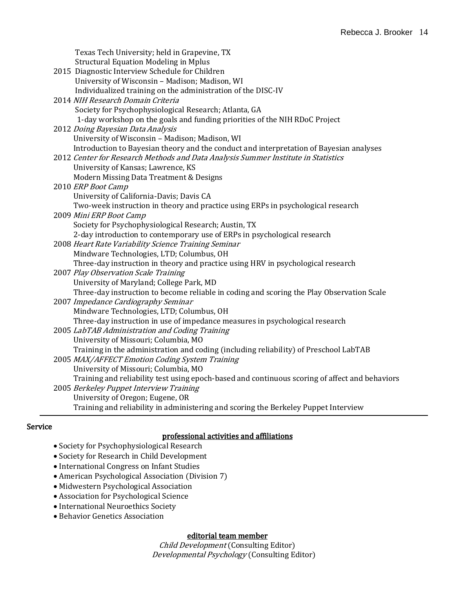| Texas Tech University; held in Grapevine, TX<br><b>Structural Equation Modeling in Mplus</b><br>2015 Diagnostic Interview Schedule for Children<br>University of Wisconsin - Madison; Madison, WI<br>Individualized training on the administration of the DISC-IV |
|-------------------------------------------------------------------------------------------------------------------------------------------------------------------------------------------------------------------------------------------------------------------|
| 2014 NIH Research Domain Criteria<br>Society for Psychophysiological Research; Atlanta, GA<br>1-day workshop on the goals and funding priorities of the NIH RDoC Project                                                                                          |
| 2012 Doing Bayesian Data Analysis                                                                                                                                                                                                                                 |
| University of Wisconsin - Madison; Madison, WI                                                                                                                                                                                                                    |
| Introduction to Bayesian theory and the conduct and interpretation of Bayesian analyses                                                                                                                                                                           |
| 2012 Center for Research Methods and Data Analysis Summer Institute in Statistics                                                                                                                                                                                 |
| University of Kansas; Lawrence, KS                                                                                                                                                                                                                                |
| Modern Missing Data Treatment & Designs                                                                                                                                                                                                                           |
| 2010 ERP Boot Camp                                                                                                                                                                                                                                                |
| University of California-Davis; Davis CA                                                                                                                                                                                                                          |
| Two-week instruction in theory and practice using ERPs in psychological research                                                                                                                                                                                  |
| 2009 Mini ERP Boot Camp                                                                                                                                                                                                                                           |
| Society for Psychophysiological Research; Austin, TX                                                                                                                                                                                                              |
| 2-day introduction to contemporary use of ERPs in psychological research                                                                                                                                                                                          |
| 2008 Heart Rate Variability Science Training Seminar                                                                                                                                                                                                              |
| Mindware Technologies, LTD; Columbus, OH                                                                                                                                                                                                                          |
| Three-day instruction in theory and practice using HRV in psychological research                                                                                                                                                                                  |
| 2007 Play Observation Scale Training                                                                                                                                                                                                                              |
| University of Maryland; College Park, MD                                                                                                                                                                                                                          |
| Three-day instruction to become reliable in coding and scoring the Play Observation Scale                                                                                                                                                                         |
| 2007 Impedance Cardiography Seminar                                                                                                                                                                                                                               |
| Mindware Technologies, LTD; Columbus, OH                                                                                                                                                                                                                          |
| Three-day instruction in use of impedance measures in psychological research                                                                                                                                                                                      |
| 2005 LabTAB Administration and Coding Training                                                                                                                                                                                                                    |
| University of Missouri; Columbia, MO                                                                                                                                                                                                                              |
| Training in the administration and coding (including reliability) of Preschool LabTAB                                                                                                                                                                             |
| 2005 MAX/AFFECT Emotion Coding System Training                                                                                                                                                                                                                    |
| University of Missouri; Columbia, MO                                                                                                                                                                                                                              |
| Training and reliability test using epoch-based and continuous scoring of affect and behaviors                                                                                                                                                                    |
| 2005 Berkeley Puppet Interview Training                                                                                                                                                                                                                           |
| University of Oregon; Eugene, OR<br>Training and reliability in administering and scoring the Berkeley Puppet Interview                                                                                                                                           |
|                                                                                                                                                                                                                                                                   |

# Service

### professional activities and affiliations

- Society for Psychophysiological Research
- Society for Research in Child Development
- International Congress on Infant Studies
- American Psychological Association (Division 7)
- Midwestern Psychological Association
- Association for Psychological Science
- International Neuroethics Society
- Behavior Genetics Association

### editorial team member

Child Development (Consulting Editor) Developmental Psychology (Consulting Editor)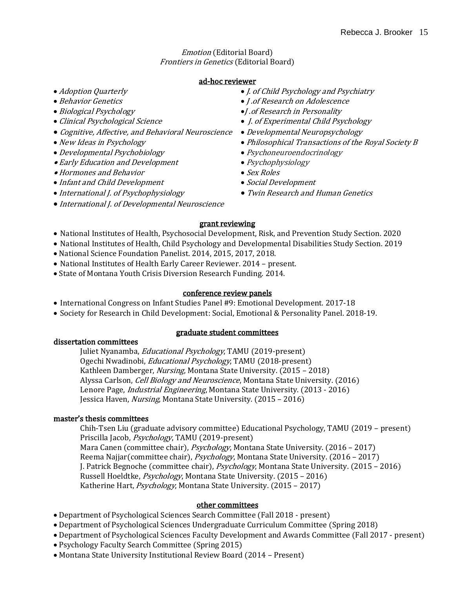Emotion (Editorial Board) Frontiers in Genetics (Editorial Board)

#### ad-hoc reviewer

- 
- 
- 
- 
- Cognitive, Affective, and Behavioral Neuroscience Developmental Neuropsychology
- 
- Developmental Psychobiology Psychoneuroendocrinology
- Early Education and Development Psychophysiology
- Hormones and Behavior Sex Roles
- Infant and Child Development Social Development
- 
- International J. of Developmental Neuroscience
- Adoption Quarterly equation of the state of the state of  $I$ , of Child Psychology and Psychiatry
- Behavior Genetics J .of Research on Adolescence
- Biological Psychology J.of Research in Personality
- Clinical Psychological Science 1. of Experimental Child Psychology
	-
- New Ideas in Psychology extending the Philosophical Transactions of the Royal Society B
	-
	-
	-
	-
- International J. of Psychophysiology Twin Research and Human Genetics
	- grant reviewing
- National Institutes of Health, Psychosocial Development, Risk, and Prevention Study Section. 2020
- National Institutes of Health, Child Psychology and Developmental Disabilities Study Section. 2019
- National Science Foundation Panelist. 2014, 2015, 2017, 2018.
- National Institutes of Health Early Career Reviewer. 2014 present.
- State of Montana Youth Crisis Diversion Research Funding. 2014.

### conference review panels

- International Congress on Infant Studies Panel #9: Emotional Development. 2017-18
- Society for Research in Child Development: Social, Emotional & Personality Panel. 2018-19.

### graduate student committees

dissertation committees

Juliet Nyanamba, *Educational Psychology*, TAMU (2019-present) Ogechi Nwadinobi, Educational Psychology, TAMU (2018-present) Kathleen Damberger, Nursing, Montana State University. (2015 - 2018) Alyssa Carlson, *Cell Biology and Neuroscience*, Montana State University. (2016) Lenore Page, Industrial Engineering, Montana State University. (2013 - 2016) Jessica Haven, Nursing, Montana State University. (2015 – 2016)

### master's thesis committees

Chih-Tsen Liu (graduate advisory committee) Educational Psychology, TAMU (2019 – present) Priscilla Jacob, Psychology, TAMU (2019-present) Mara Canen (committee chair), *Psychology*, Montana State University. (2016 – 2017) Reema Najjar(committee chair), Psychology, Montana State University. (2016 - 2017) J. Patrick Begnoche (committee chair), *Psychology*, Montana State University. (2015 – 2016) Russell Hoeldtke, Psychology, Montana State University. (2015 – 2016) Katherine Hart, Psychology, Montana State University. (2015 - 2017)

### other committees

- Department of Psychological Sciences Search Committee (Fall 2018 present)
- Department of Psychological Sciences Undergraduate Curriculum Committee (Spring 2018)
- Department of Psychological Sciences Faculty Development and Awards Committee (Fall 2017 present)
- Psychology Faculty Search Committee (Spring 2015)
- Montana State University Institutional Review Board (2014 Present)